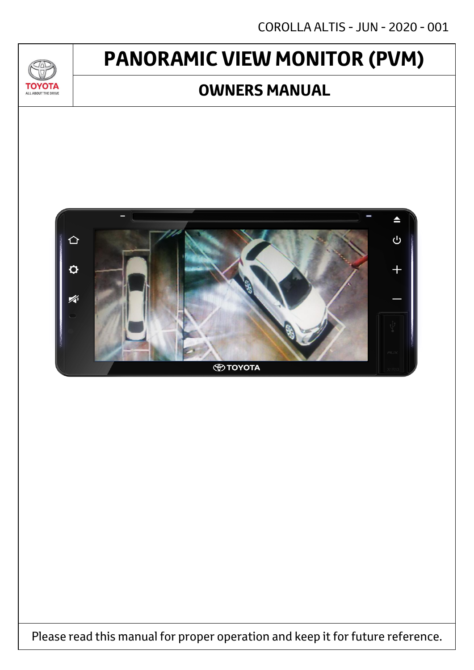# **PANORAMIC VIEW MONITOR (PVM)**

70

**TOYOTA** ALL ABOUT THE DRIVE

### **OWNERS MANUAL**



Please read this manual for proper operation and keep it for future reference.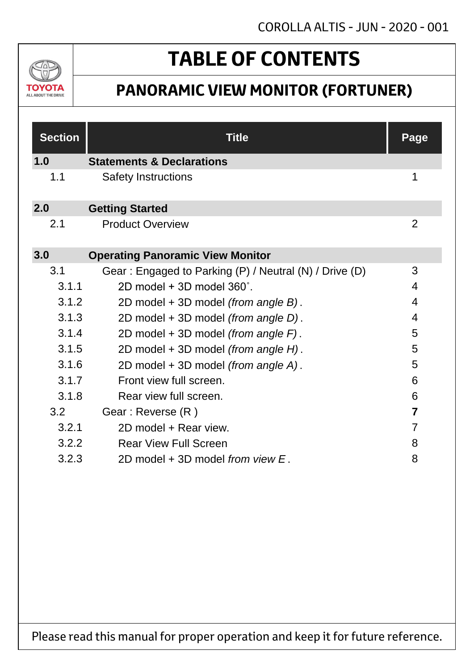

# **TABLE OF CONTENTS**

## **PANORAMIC VIEW MONITOR (FORTUNER)**

| <b>Section</b> | <b>Title</b>                                           | <b>Page</b>    |
|----------------|--------------------------------------------------------|----------------|
| 1.0            | <b>Statements &amp; Declarations</b>                   |                |
| 1.1            | <b>Safety Instructions</b>                             | 1              |
| 2.0            | <b>Getting Started</b>                                 |                |
| 2.1            | <b>Product Overview</b>                                | $\overline{2}$ |
| 3.0            | <b>Operating Panoramic View Monitor</b>                |                |
| 3.1            | Gear: Engaged to Parking (P) / Neutral (N) / Drive (D) | 3              |
| 3.1.1          | $2D$ model + 3D model $360^\circ$ .                    | 4              |
| 3.1.2          | 2D model + 3D model (from angle B).                    | 4              |
| 3.1.3          | 2D model + 3D model (from angle D).                    | 4              |
| 3.1.4          | 2D model + 3D model (from angle F).                    | 5              |
| 3.1.5          | 2D model + 3D model (from angle H).                    | 5              |
| 3.1.6          | 2D model + 3D model (from angle A).                    | 5              |
| 3.1.7          | Front view full screen.                                | 6              |
| 3.1.8          | Rear view full screen.                                 | 6              |
| 3.2            | Gear: Reverse (R)                                      | $\overline{7}$ |
| 3.2.1          | 2D model + Rear view.                                  | 7              |
| 3.2.2          | <b>Rear View Full Screen</b>                           | 8              |
| 3.2.3          | 2D model $+$ 3D model from view $E$ .                  | 8              |

Please read this manual for proper operation and keep it for future reference.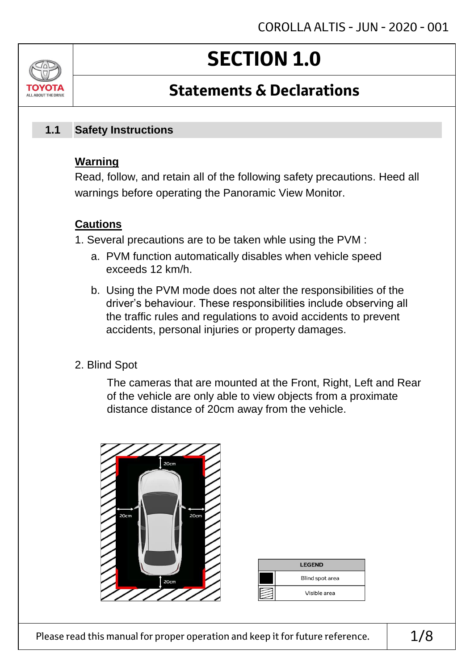# **SECTION 1.0**

## **Statements & Declarations**

#### **Safety Instructions 1.1**

### **Warning**

ALL AROUT THE DRIV

Read, follow, and retain all of the following safety precautions. Heed all warnings before operating the Panoramic View Monitor.

### **Cautions**

- 1. Several precautions are to be taken whle using the PVM :
	- a. PVM function automatically disables when vehicle speed exceeds 12 km/h.
	- b. Using the PVM mode does not alter the responsibilities of the driver's behaviour. These responsibilities include observing all the traffic rules and regulations to avoid accidents to prevent accidents, personal injuries or property damages.
- 2. Blind Spot

The cameras that are mounted at the Front, Right, Left and Rear of the vehicle are only able to view objects from a proximate distance distance of 20cm away from the vehicle.



| <b>LEGEND</b> |                 |  |
|---------------|-----------------|--|
|               | Blind spot area |  |
|               | Visible area    |  |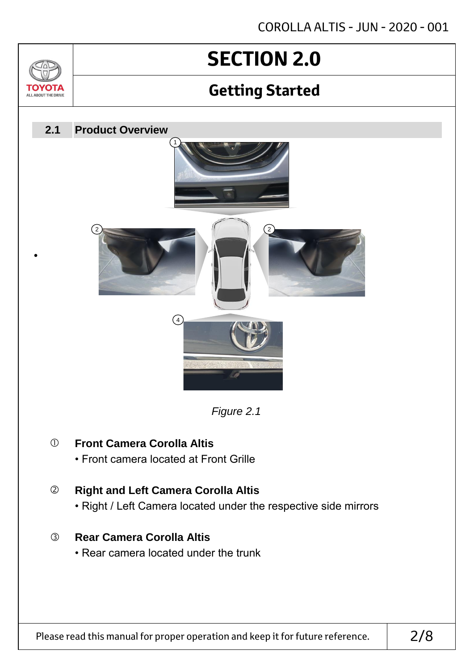# **SECTION 2.0**

 $\sqrt{2}$ 

TOVOTZ ALL ABOUT THE DRIVE

## **Getting Started**

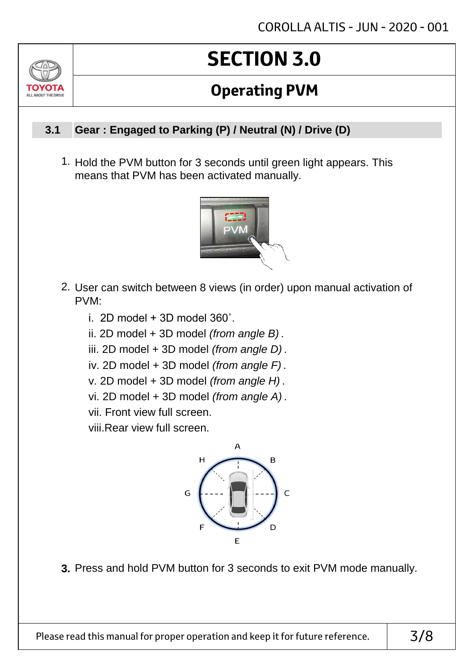# **SECTION 3.0**

## **Operating PVM**

#### **Gear : Engaged to Parking (P) / Neutral (N) / Drive (D) 3.1**

ALL AROUT THE DRIV

1. Hold the PVM button for 3 seconds until green light appears. This means that PVM has been activated manually.



- 2. User can switch between 8 views (in order) upon manual activation of PVM:
	- i. 2D model  $+$  3D model 360 $^{\circ}$ .
	- ii. 2D model + 3D model *(from angle B)* .
	- iii. 2D model + 3D model *(from angle D)* .
	- iv. 2D model + 3D model *(from angle F)* .
	- v. 2D model + 3D model *(from angle H)* .
	- vi. 2D model + 3D model *(from angle A)* .
	- vii. Front view full screen.

viii.Rear view full screen.



**3.** Press and hold PVM button for 3 seconds to exit PVM mode manually.

Please read this manual for proper operation and keep it for future reference.  $\vert$  3/8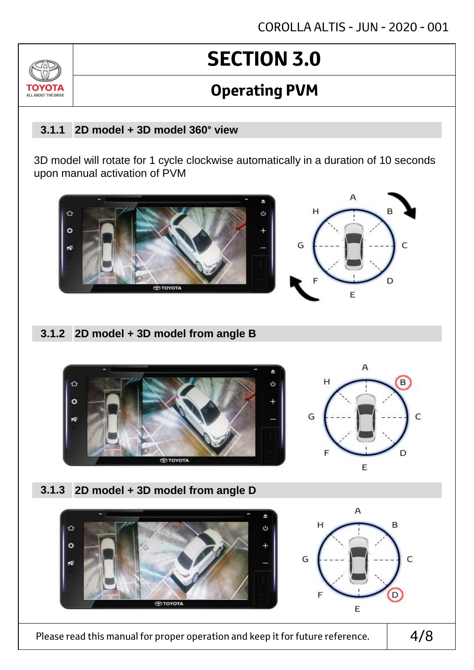# **SECTION 3.0**

## **Operating PVM**

#### **2D model + 3D model 360° view 3.1.1**

 $7<sub>0</sub>$ 

TOVOTZ ALL ABOUT THE DRIVE

> 3D model will rotate for 1 cycle clockwise automatically in a duration of 10 seconds upon manual activation of PVM



### **2D model + 3D model from angle B 3.1.2**



**2D model + 3D model from angle D 3.1.3**



Please read this manual for proper operation and keep it for future reference.  $\vert$  4/8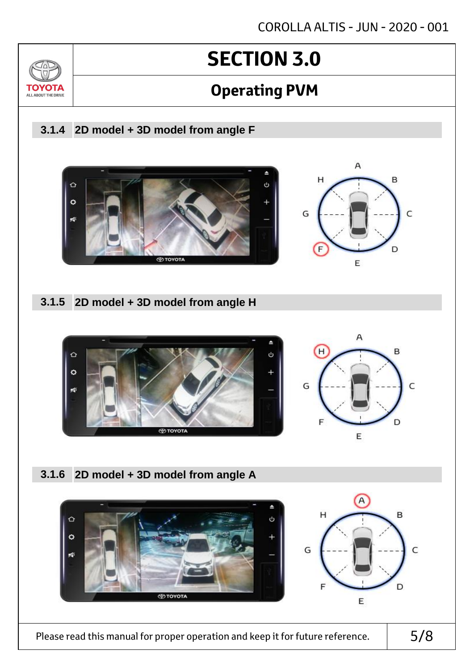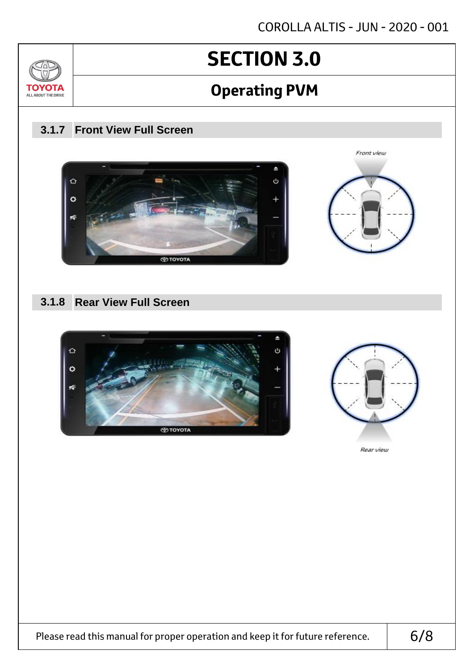Front view



# **SECTION 3.0**

## **Operating PVM**

### **Front View Full Screen 3.1.7**



### **Rear View Full Screen 3.1.8**





Please read this manual for proper operation and keep it for future reference.  $\vert$  6/8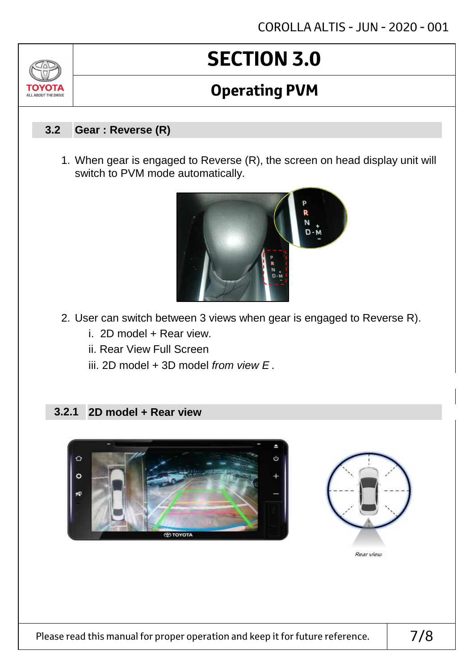# **SECTION 3.0**

## **Operating PVM**

#### **Gear : Reverse (R) 3.2**

TOVOTZ ALL ABOUT THE DRIVE

> 1. When gear is engaged to Reverse (R), the screen on head display unit will switch to PVM mode automatically.



- 2. User can switch between 3 views when gear is engaged to Reverse R).
	- i. 2D model + Rear view.
	- ii. Rear View Full Screen
	- iii. 2D model + 3D model *from view E* .

### **2.2.1 2D model + Rear view**